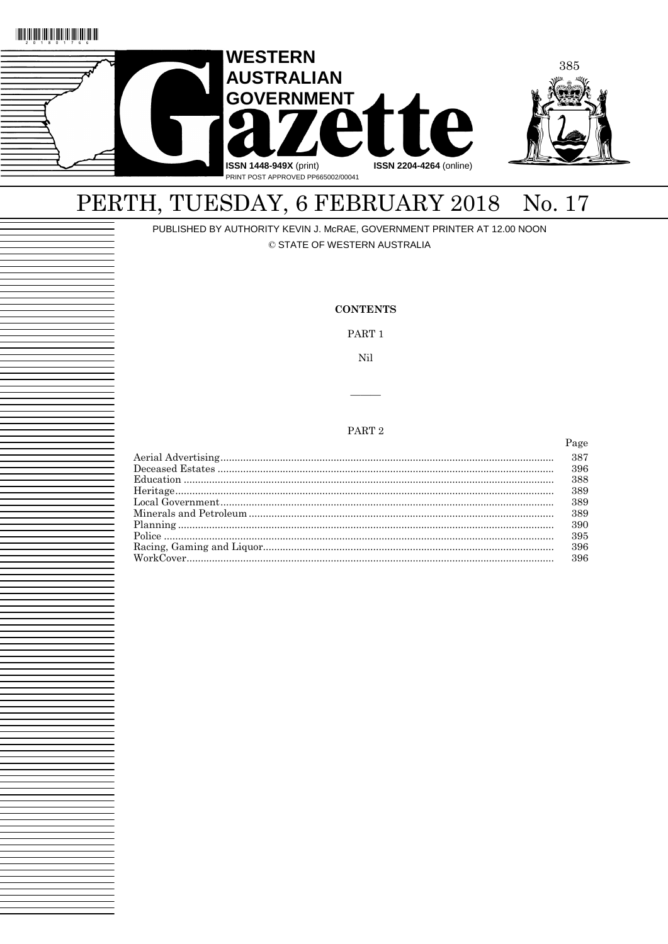



# PERTH, TUESDAY, 6 FEBRUARY 2018 No. 17

PUBLISHED BY AUTHORITY KEVIN J. McRAE, GOVERNMENT PRINTER AT 12.00 NOON

© STATE OF WESTERN AUSTRALIA

### **CONTENTS** PART<sub>1</sub> Nil PART<sub>2</sub> Page 387 396 388 389 389 389 390 395 396 396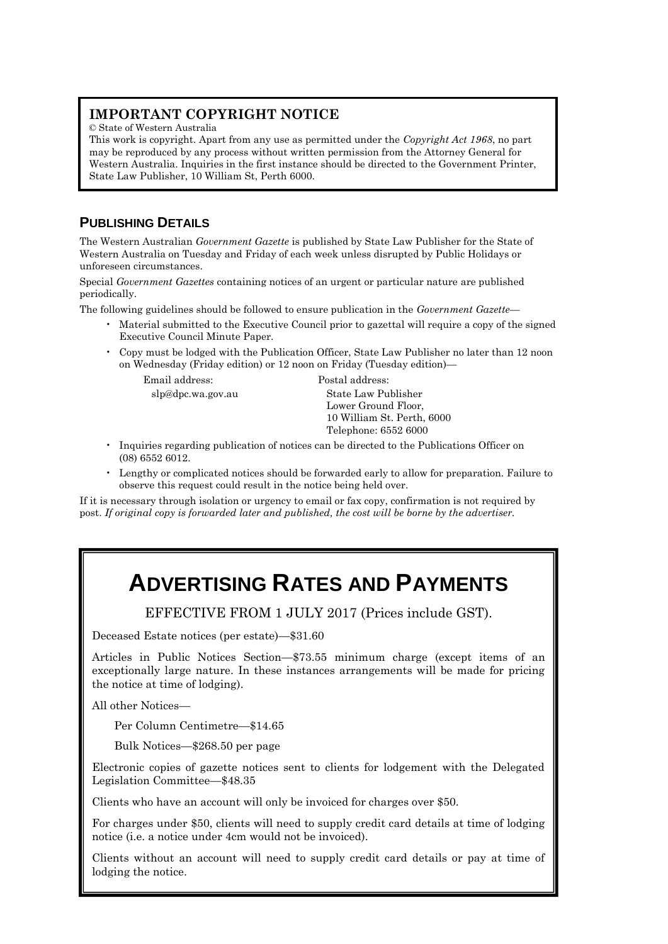# **IMPORTANT COPYRIGHT NOTICE**

© State of Western Australia

This work is copyright. Apart from any use as permitted under the *Copyright Act 1968*, no part may be reproduced by any process without written permission from the Attorney General for Western Australia. Inquiries in the first instance should be directed to the Government Printer, State Law Publisher, 10 William St, Perth 6000.

# **PUBLISHING DETAILS**

The Western Australian *Government Gazette* is published by State Law Publisher for the State of Western Australia on Tuesday and Friday of each week unless disrupted by Public Holidays or unforeseen circumstances.

Special *Government Gazettes* containing notices of an urgent or particular nature are published periodically.

The following guidelines should be followed to ensure publication in the *Government Gazette*—

- Material submitted to the Executive Council prior to gazettal will require a copy of the signed Executive Council Minute Paper.
- Copy must be lodged with the Publication Officer, State Law Publisher no later than 12 noon on Wednesday (Friday edition) or 12 noon on Friday (Tuesday edition)—

Email address: Postal address:

slp@dpc.wa.gov.au State Law Publisher Lower Ground Floor, 10 William St. Perth, 6000 Telephone: 6552 6000

- Inquiries regarding publication of notices can be directed to the Publications Officer on (08) 6552 6012.
- Lengthy or complicated notices should be forwarded early to allow for preparation. Failure to observe this request could result in the notice being held over.

If it is necessary through isolation or urgency to email or fax copy, confirmation is not required by post. *If original copy is forwarded later and published, the cost will be borne by the advertiser.*

# **ADVERTISING RATES AND PAYMENTS**

EFFECTIVE FROM 1 JULY 2017 (Prices include GST).

Deceased Estate notices (per estate)—\$31.60

Articles in Public Notices Section—\$73.55 minimum charge (except items of an exceptionally large nature. In these instances arrangements will be made for pricing the notice at time of lodging).

All other Notices—

Per Column Centimetre—\$14.65

Bulk Notices—\$268.50 per page

Electronic copies of gazette notices sent to clients for lodgement with the Delegated Legislation Committee—\$48.35

Clients who have an account will only be invoiced for charges over \$50.

For charges under \$50, clients will need to supply credit card details at time of lodging notice (i.e. a notice under 4cm would not be invoiced).

Clients without an account will need to supply credit card details or pay at time of lodging the notice.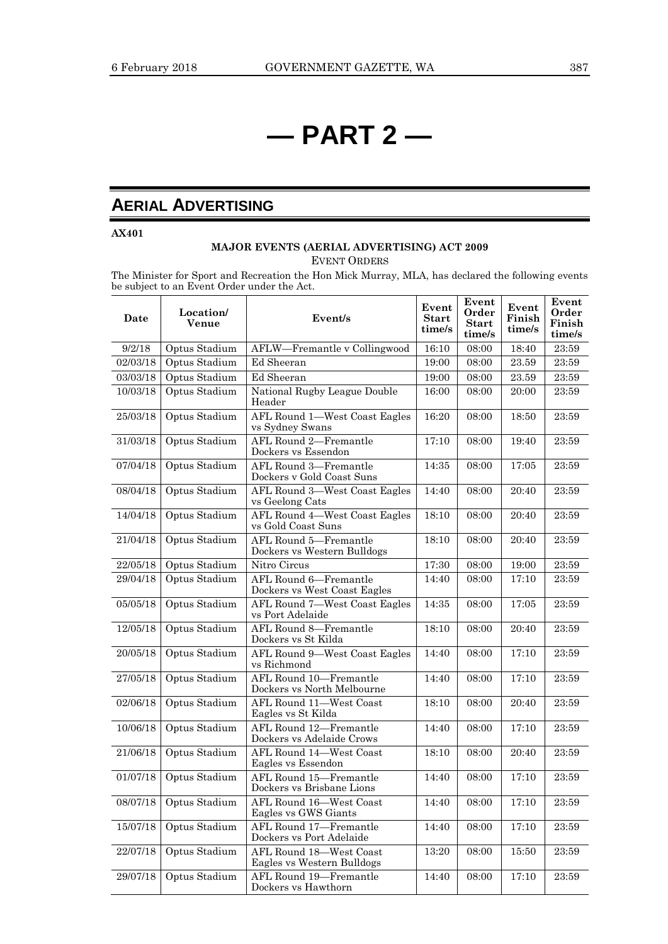# **— PART 2 —**

# **AERIAL ADVERTISING**

**AX401**

## **MAJOR EVENTS (AERIAL ADVERTISING) ACT 2009** EVENT ORDERS

The Minister for Sport and Recreation the Hon Mick Murray, MLA, has declared the following events be subject to an Event Order under the Act.

| Date     | Location/<br>Venue     | Event/s                                               | Event<br><b>Start</b><br>time/s | Event<br>Order<br><b>Start</b><br>time/s | Event<br>Finish<br>time/s | Event<br>Order<br>Finish<br>time/s |
|----------|------------------------|-------------------------------------------------------|---------------------------------|------------------------------------------|---------------------------|------------------------------------|
| 9/2/18   | Optus Stadium          | AFLW-Fremantle v Collingwood                          | 16:10                           | 08:00                                    | 18:40                     | 23:59                              |
| 02/03/18 | Optus Stadium          | Ed Sheeran                                            | 19:00                           | 08:00                                    | 23.59                     | 23:59                              |
| 03/03/18 | Optus Stadium          | Ed Sheeran                                            | 19:00                           | 08:00                                    | 23.59                     | 23:59                              |
| 10/03/18 | Optus Stadium          | National Rugby League Double<br>Header                | 16:00                           | 08:00                                    | 20:00                     | 23:59                              |
| 25/03/18 | Optus Stadium          | AFL Round 1-West Coast Eagles<br>vs Sydney Swans      | 16:20                           | 08:00                                    | 18:50                     | 23:59                              |
| 31/03/18 | Optus Stadium          | AFL Round 2-Fremantle<br>Dockers vs Essendon          | 17:10                           | 08:00                                    | 19:40                     | 23:59                              |
| 07/04/18 | Optus Stadium          | AFL Round 3-Fremantle<br>Dockers v Gold Coast Suns    | 14:35                           | 08:00                                    | 17:05                     | 23:59                              |
| 08/04/18 | Optus Stadium          | AFL Round 3-West Coast Eagles<br>vs Geelong Cats      | 14:40                           | 08:00                                    | 20:40                     | 23:59                              |
| 14/04/18 | Optus Stadium          | AFL Round 4-West Coast Eagles<br>vs Gold Coast Suns   | 18:10                           | 08:00                                    | 20:40                     | 23:59                              |
| 21/04/18 | Optus Stadium          | AFL Round 5-Fremantle<br>Dockers vs Western Bulldogs  | 18:10                           | 08:00                                    | 20:40                     | 23:59                              |
| 22/05/18 | Optus Stadium          | Nitro Circus                                          | 17:30                           | 08:00                                    | 19:00                     | 23:59                              |
| 29/04/18 | Optus Stadium          | AFL Round 6-Fremantle<br>Dockers vs West Coast Eagles | 14:40                           | 08:00                                    | 17:10                     | 23:59                              |
| 05/05/18 | Optus Stadium          | AFL Round 7-West Coast Eagles<br>vs Port Adelaide     | 14:35                           | 08:00                                    | 17:05                     | 23:59                              |
| 12/05/18 | Optus Stadium          | AFL Round 8-Fremantle<br>Dockers vs St Kilda          | 18:10                           | 08:00                                    | 20:40                     | 23:59                              |
| 20/05/18 | Optus Stadium          | AFL Round 9-West Coast Eagles<br>vs Richmond          | 14:40                           | 08:00                                    | 17:10                     | 23:59                              |
| 27/05/18 | Optus Stadium          | AFL Round 10-Fremantle<br>Dockers vs North Melbourne  | 14:40                           | 08:00                                    | 17:10                     | 23:59                              |
| 02/06/18 | Optus Stadium          | AFL Round 11-West Coast<br>Eagles vs St Kilda         | 18:10                           | 08:00                                    | 20:40                     | 23:59                              |
| 10/06/18 | Optus Stadium          | AFL Round 12-Fremantle<br>Dockers vs Adelaide Crows   | 14:40                           | 08:00                                    | 17:10                     | 23:59                              |
| 21/06/18 | Optus Stadium          | AFL Round 14-West Coast<br>Eagles vs Essendon         | 18:10                           | 08:00                                    | 20:40                     | 23:59                              |
| 01/07/18 | Optus Stadium          | AFL Round 15-Fremantle<br>Dockers vs Brisbane Lions   | 14:40                           | 08:00                                    | 17:10                     | 23:59                              |
|          | 08/07/18 Optus Stadium | AFL Round 16-West Coast<br>Eagles vs GWS Giants       | 14:40                           | 08:00                                    | 17:10                     | 23:59                              |
| 15/07/18 | Optus Stadium          | AFL Round 17-Fremantle<br>Dockers vs Port Adelaide    | 14:40                           | 08:00                                    | 17:10                     | 23:59                              |
| 22/07/18 | Optus Stadium          | AFL Round 18-West Coast<br>Eagles vs Western Bulldogs | 13:20                           | 08:00                                    | 15:50                     | 23:59                              |
| 29/07/18 | Optus Stadium          | AFL Round 19-Fremantle<br>Dockers vs Hawthorn         | 14:40                           | 08:00                                    | 17:10                     | 23:59                              |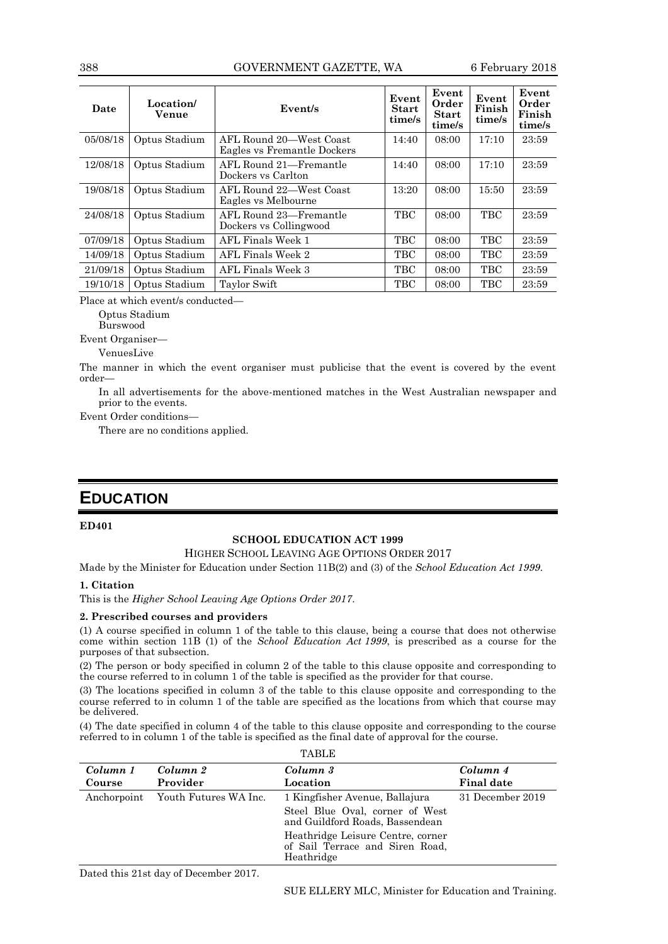| Date     | Location/<br>Venue | Event/s                                                | Event<br>Start<br>time/s | Event<br>Order<br><b>Start</b><br>time/s | Event<br>Finish<br>time/s | Event<br>Order<br>Finish<br>time/s |
|----------|--------------------|--------------------------------------------------------|--------------------------|------------------------------------------|---------------------------|------------------------------------|
| 05/08/18 | Optus Stadium      | AFL Round 20—West Coast<br>Eagles vs Fremantle Dockers | 14:40                    | 08:00                                    | 17:10                     | 23:59                              |
| 12/08/18 | Optus Stadium      | AFL Round 21-Fremantle<br>Dockers vs Carlton           | 14:40                    | 08:00                                    | 17:10                     | 23:59                              |
| 19/08/18 | Optus Stadium      | AFL Round 22—West Coast<br>Eagles vs Melbourne         | 13:20                    | 08:00                                    | 15:50                     | 23:59                              |
| 24/08/18 | Optus Stadium      | AFL Round 23-Fremantle<br>Dockers vs Collingwood       | <b>TBC</b>               | 08:00                                    | <b>TBC</b>                | 23:59                              |
| 07/09/18 | Optus Stadium      | AFL Finals Week 1                                      | TBC                      | 08:00                                    | TBC                       | 23:59                              |
| 14/09/18 | Optus Stadium      | AFL Finals Week 2                                      | TBC                      | 08:00                                    | TBC                       | 23:59                              |
| 21/09/18 | Optus Stadium      | AFL Finals Week 3                                      | <b>TBC</b>               | 08:00                                    | <b>TBC</b>                | 23:59                              |
| 19/10/18 | Optus Stadium      | Taylor Swift                                           | <b>TBC</b>               | 08:00                                    | <b>TBC</b>                | 23:59                              |

Place at which event/s conducted—

Optus Stadium

Burswood

Event Organiser—

VenuesLive

The manner in which the event organiser must publicise that the event is covered by the event order—

In all advertisements for the above-mentioned matches in the West Australian newspaper and prior to the events.

Event Order conditions—

There are no conditions applied.

## **EDUCATION**

## **ED401**

### **SCHOOL EDUCATION ACT 1999**

HIGHER SCHOOL LEAVING AGE OPTIONS ORDER 2017

Made by the Minister for Education under Section 11B(2) and (3) of the *School Education Act 1999*.

#### **1. Citation**

This is the *Higher School Leaving Age Options Order 2017*.

#### **2. Prescribed courses and providers**

(1) A course specified in column 1 of the table to this clause, being a course that does not otherwise come within section 11B (1) of the *School Education Act 1999*, is prescribed as a course for the purposes of that subsection.

(2) The person or body specified in column 2 of the table to this clause opposite and corresponding to the course referred to in column 1 of the table is specified as the provider for that course.

(3) The locations specified in column 3 of the table to this clause opposite and corresponding to the course referred to in column 1 of the table are specified as the locations from which that course may be delivered.

(4) The date specified in column 4 of the table to this clause opposite and corresponding to the course referred to in column 1 of the table is specified as the final date of approval for the course. ma<sub>DI</sub><sub>D</sub>

|          | THDLE                             |                                                                                    |                   |  |  |  |
|----------|-----------------------------------|------------------------------------------------------------------------------------|-------------------|--|--|--|
| Column 1 | Column 2                          | Column 3                                                                           | Column 4          |  |  |  |
| Course   | Provider                          | Location                                                                           | <b>Final date</b> |  |  |  |
|          | Anchorpoint Youth Futures WA Inc. | 1 Kingfisher Avenue, Ballajura                                                     | 31 December 2019  |  |  |  |
|          |                                   | Steel Blue Oval, corner of West<br>and Guildford Roads, Bassendean                 |                   |  |  |  |
|          |                                   | Heathridge Leisure Centre, corner<br>of Sail Terrace and Siren Road,<br>Heathridge |                   |  |  |  |

Dated this 21st day of December 2017.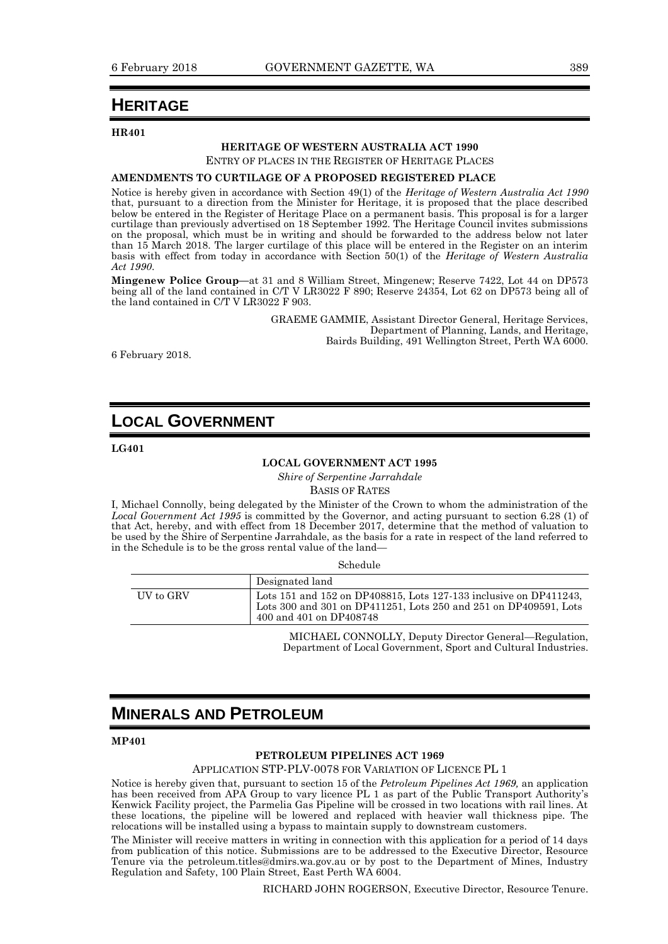# **HERITAGE**

#### **HR401**

#### **HERITAGE OF WESTERN AUSTRALIA ACT 1990**

ENTRY OF PLACES IN THE REGISTER OF HERITAGE PLACES

#### **AMENDMENTS TO CURTILAGE OF A PROPOSED REGISTERED PLACE**

Notice is hereby given in accordance with Section 49(1) of the *Heritage of Western Australia Act 1990* that, pursuant to a direction from the Minister for Heritage, it is proposed that the place described below be entered in the Register of Heritage Place on a permanent basis. This proposal is for a larger curtilage than previously advertised on 18 September 1992. The Heritage Council invites submissions on the proposal, which must be in writing and should be forwarded to the address below not later than 15 March 2018. The larger curtilage of this place will be entered in the Register on an interim basis with effect from today in accordance with Section 50(1) of the *Heritage of Western Australia Act 1990*.

**Mingenew Police Group—**at 31 and 8 William Street, Mingenew; Reserve 7422, Lot 44 on DP573 being all of the land contained in C/T V LR3022 F 890; Reserve 24354, Lot 62 on DP573 being all of the land contained in C/T V LR3022 F 903.

> GRAEME GAMMIE, Assistant Director General, Heritage Services, Department of Planning, Lands, and Heritage, Bairds Building, 491 Wellington Street, Perth WA 6000.

6 February 2018.

## **LOCAL GOVERNMENT**

**LG401**

#### **LOCAL GOVERNMENT ACT 1995**

*Shire of Serpentine Jarrahdale* BASIS OF RATES

I, Michael Connolly, being delegated by the Minister of the Crown to whom the administration of the *Local Government Act 1995* is committed by the Governor, and acting pursuant to section 6.28 (1) of that Act, hereby, and with effect from 18 December 2017, determine that the method of valuation to be used by the Shire of Serpentine Jarrahdale, as the basis for a rate in respect of the land referred to in the Schedule is to be the gross rental value of the land—

Schedule

|           | Designated land                                                                                                                                                  |
|-----------|------------------------------------------------------------------------------------------------------------------------------------------------------------------|
| UV to GRV | Lots 151 and 152 on DP408815, Lots 127-133 inclusive on DP411243,<br>Lots 300 and 301 on DP411251, Lots 250 and 251 on DP409591, Lots<br>400 and 401 on DP408748 |

MICHAEL CONNOLLY, Deputy Director General—Regulation, Department of Local Government, Sport and Cultural Industries.

# **MINERALS AND PETROLEUM**

**MP401**

## **PETROLEUM PIPELINES ACT 1969**

APPLICATION STP-PLV-0078 FOR VARIATION OF LICENCE PL 1

Notice is hereby given that, pursuant to section 15 of the *Petroleum Pipelines Act 1969,* an application has been received from APA Group to vary licence PL 1 as part of the Public Transport Authority's Kenwick Facility project, the Parmelia Gas Pipeline will be crossed in two locations with rail lines. At these locations, the pipeline will be lowered and replaced with heavier wall thickness pipe. The relocations will be installed using a bypass to maintain supply to downstream customers.

The Minister will receive matters in writing in connection with this application for a period of 14 days from publication of this notice. Submissions are to be addressed to the Executive Director, Resource Tenure via the petroleum.titles@dmirs.wa.gov.au or by post to the Department of Mines, Industry Regulation and Safety, 100 Plain Street, East Perth WA 6004.

RICHARD JOHN ROGERSON, Executive Director, Resource Tenure.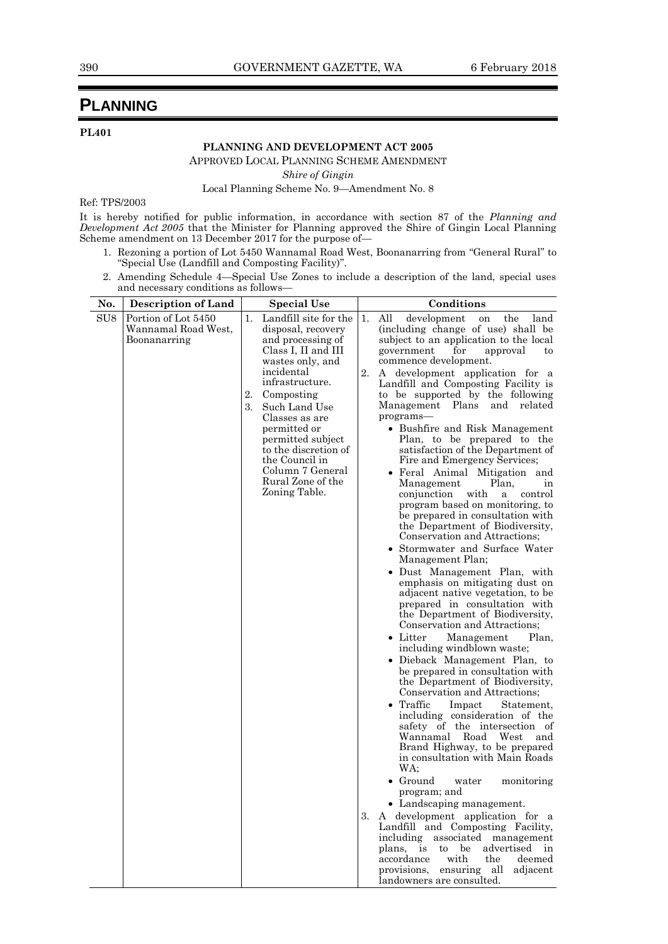# **PLANNING**

## **PL401**

## **PLANNING AND DEVELOPMENT ACT 2005**

APPROVED LOCAL PLANNING SCHEME AMENDMENT

*Shire of Gingin*

Local Planning Scheme No. 9—Amendment No. 8

Ref: TPS/2003

It is hereby notified for public information, in accordance with section 87 of the *Planning and Development Act 2005* that the Minister for Planning approved the Shire of Gingin Local Planning Scheme amendment on 13 December 2017 for the purpose of—

- 1. Rezoning a portion of Lot 5450 Wannamal Road West, Boonanarring from "General Rural" to "Special Use (Landfill and Composting Facility)".
- 2. Amending Schedule 4—Special Use Zones to include a description of the land, special uses and necessary conditions as follows—

| No.             | <b>Description of Land</b>                                 | <b>Special Use</b> |                                                                                                                                                                                                                                                                                                                                        |                | Conditions                                                                                                                                                                                                                                                                                                                                                                                                                                                                                                                                                                                                                                                                                                                                                                                                                                                                                                                                                                                                                                                                                                                                                                                                                                                                                                                                                                                                                                                                                                                                                                                                                                                                                                                                                                                                              |
|-----------------|------------------------------------------------------------|--------------------|----------------------------------------------------------------------------------------------------------------------------------------------------------------------------------------------------------------------------------------------------------------------------------------------------------------------------------------|----------------|-------------------------------------------------------------------------------------------------------------------------------------------------------------------------------------------------------------------------------------------------------------------------------------------------------------------------------------------------------------------------------------------------------------------------------------------------------------------------------------------------------------------------------------------------------------------------------------------------------------------------------------------------------------------------------------------------------------------------------------------------------------------------------------------------------------------------------------------------------------------------------------------------------------------------------------------------------------------------------------------------------------------------------------------------------------------------------------------------------------------------------------------------------------------------------------------------------------------------------------------------------------------------------------------------------------------------------------------------------------------------------------------------------------------------------------------------------------------------------------------------------------------------------------------------------------------------------------------------------------------------------------------------------------------------------------------------------------------------------------------------------------------------------------------------------------------------|
| SU <sub>8</sub> | Portion of Lot 5450<br>Wannamal Road West,<br>Boonanarring | 1.<br>2.<br>3.     | Landfill site for the<br>disposal, recovery<br>and processing of<br>Class I, II and III<br>wastes only, and<br>incidental<br>infrastructure.<br>Composting<br>Such Land Use<br>Classes as are<br>permitted or<br>permitted subject<br>to the discretion of<br>the Council in<br>Column 7 General<br>Rural Zone of the<br>Zoning Table. | 1.<br>2.<br>3. | All<br>development<br>the<br>land<br>on<br>(including change of use) shall be<br>subject to an application to the local<br>government<br>for<br>approval<br>to<br>commence development.<br>A development application for a<br>Landfill and Composting Facility is<br>to be supported by the following<br>Management<br>Plans<br>and related<br>programs-<br>• Bushfire and Risk Management<br>Plan, to be prepared to the<br>satisfaction of the Department of<br>Fire and Emergency Services;<br>• Feral Animal Mitigation and<br>Plan,<br>Management<br>ın<br>conjunction<br>with<br>control<br>a<br>program based on monitoring, to<br>be prepared in consultation with<br>the Department of Biodiversity,<br>Conservation and Attractions:<br>• Stormwater and Surface Water<br>Management Plan;<br>· Dust Management Plan, with<br>emphasis on mitigating dust on<br>adjacent native vegetation, to be<br>prepared in consultation with<br>the Department of Biodiversity,<br>Conservation and Attractions;<br>$\bullet$ Litter<br>Plan,<br>Management<br>including windblown waste;<br>• Dieback Management Plan, to<br>be prepared in consultation with<br>the Department of Biodiversity,<br>Conservation and Attractions;<br>• Traffic<br>Statement,<br>Impact<br>including consideration of the<br>safety of the intersection of<br>Wannamal Road<br>West<br>and<br>Brand Highway, to be prepared<br>in consultation with Main Roads<br>WA:<br>Ground<br>water<br>monitoring<br>program; and<br>• Landscaping management.<br>A development application for a<br>Landfill and Composting Facility,<br>including<br>associated management<br>plans,<br>be<br>advertised<br>to<br>in<br><i>is</i><br>accordance<br>deemed<br>with<br>the<br>provisions,<br>ensuring all<br>adjacent<br>landowners are consulted. |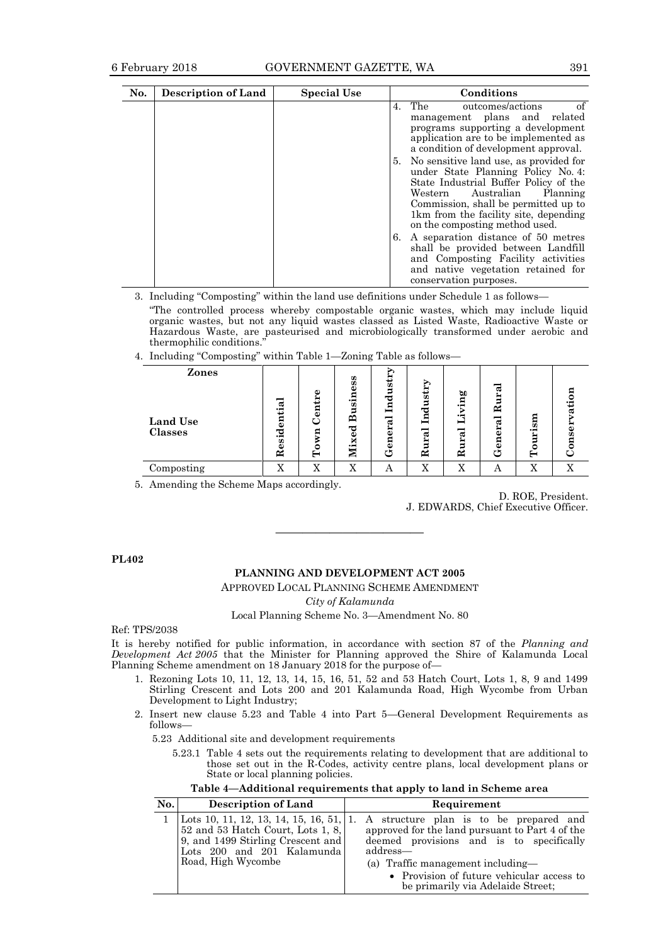| No. | <b>Description of Land</b> | <b>Special Use</b> | Conditions                                                                                                                                                                                                                                                                 |
|-----|----------------------------|--------------------|----------------------------------------------------------------------------------------------------------------------------------------------------------------------------------------------------------------------------------------------------------------------------|
|     |                            |                    | of<br>4. The<br>outcomes/actions<br>management plans and related<br>programs supporting a development<br>application are to be implemented as<br>a condition of development approval.                                                                                      |
|     |                            |                    | 5. No sensitive land use, as provided for<br>under State Planning Policy No. 4:<br>State Industrial Buffer Policy of the<br>Western Australian Planning<br>Commission, shall be permitted up to<br>1km from the facility site, depending<br>on the composting method used. |
|     |                            |                    | 6. A separation distance of 50 metres<br>shall be provided between Landfill<br>and Composting Facility activities<br>and native vegetation retained for<br>conservation purposes.                                                                                          |

3. Including "Composting" within the land use definitions under Schedule 1 as follows—

"The controlled process whereby compostable organic wastes, which may include liquid organic wastes, but not any liquid wastes classed as Listed Waste, Radioactive Waste or Hazardous Waste, are pasteurised and microbiologically transformed under aerobic and thermophilic conditions."

4. Including "Composting" within Table 1—Zoning Table as follows—

| Zones<br><b>Land Use</b><br><b>Classes</b> | ಡ<br>Т<br>Я<br>نە<br>ರ<br><u>'ត</u><br>تە<br>≃ | O)<br>≻<br>∼<br>ักว่<br>Я | 99<br>Я<br>.<br>ज<br>≃<br>ార<br>×<br>$\cdot$ $\blacksquare$ | ⋗<br>str<br>$\rm{Id}$<br>eral<br>Ē<br>τ٦ | 5<br>$_{\rm Ind}$<br>ಡ<br>Ĕ<br>≃ | ing<br>⊶<br>−<br>ಡ<br>Ë<br>$\approx$ | ್ಡ<br>₩<br>∍<br>≃<br>್ಡ<br>ä<br>Ē<br>τ٦ | ទ្ធព<br>Ë<br>۰<br>⊢ | ā<br>Ę<br>ω<br>a<br>5 |
|--------------------------------------------|------------------------------------------------|---------------------------|-------------------------------------------------------------|------------------------------------------|----------------------------------|--------------------------------------|-----------------------------------------|---------------------|-----------------------|
|                                            |                                                |                           |                                                             |                                          |                                  |                                      |                                         |                     |                       |
| Composting                                 | $\overline{r}$<br>л                            | X                         | X                                                           | А                                        | X                                | X                                    | A                                       | X                   | $\overline{r}$        |

5. Amending the Scheme Maps accordingly.

D. ROE, President. J. EDWARDS, Chief Executive Officer.

**PL402**

## **PLANNING AND DEVELOPMENT ACT 2005**

 $\overline{\phantom{a}}$  , and the contract of  $\overline{\phantom{a}}$ 

APPROVED LOCAL PLANNING SCHEME AMENDMENT

*City of Kalamunda*

Local Planning Scheme No. 3—Amendment No. 80

Ref: TPS/2038

It is hereby notified for public information, in accordance with section 87 of the *Planning and Development Act 2005* that the Minister for Planning approved the Shire of Kalamunda Local Planning Scheme amendment on 18 January 2018 for the purpose of-

- 1. Rezoning Lots 10, 11, 12, 13, 14, 15, 16, 51, 52 and 53 Hatch Court, Lots 1, 8, 9 and 1499 Stirling Crescent and Lots 200 and 201 Kalamunda Road, High Wycombe from Urban Development to Light Industry;
- 2. Insert new clause 5.23 and Table 4 into Part 5—General Development Requirements as follows—

5.23 Additional site and development requirements

5.23.1 Table 4 sets out the requirements relating to development that are additional to those set out in the R-Codes, activity centre plans, local development plans or State or local planning policies.

**Table 4—Additional requirements that apply to land in Scheme area**

| No. | <b>Description of Land</b>                                                                                                                                            | Requirement                                                                                                                                                                                                                                                              |
|-----|-----------------------------------------------------------------------------------------------------------------------------------------------------------------------|--------------------------------------------------------------------------------------------------------------------------------------------------------------------------------------------------------------------------------------------------------------------------|
|     | Lots 10, 11, 12, 13, 14, 15, 16, 51, 1.<br>52 and 53 Hatch Court, Lots 1, 8,<br>9, and 1499 Stirling Crescent and<br>Lots 200 and 201 Kalamunda<br>Road, High Wycombe | A structure plan is to be prepared and<br>approved for the land pursuant to Part 4 of the<br>deemed provisions and is to specifically<br>address—<br>(a) Traffic management including—<br>• Provision of future vehicular access to<br>be primarily via Adelaide Street; |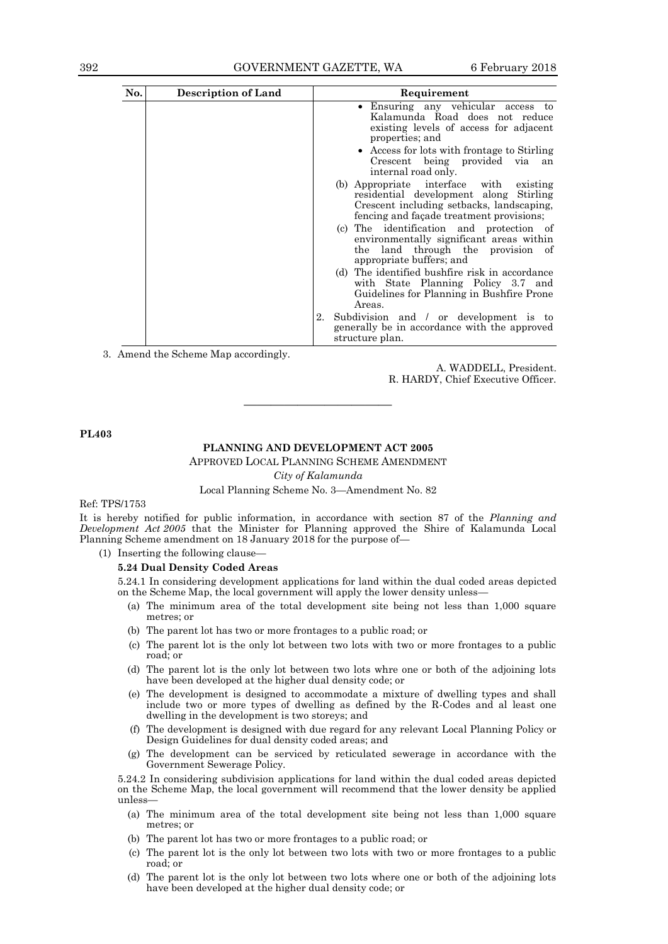| No. | <b>Description of Land</b> | Requirement                                                                                                                                                                    |
|-----|----------------------------|--------------------------------------------------------------------------------------------------------------------------------------------------------------------------------|
|     |                            | Ensuring any vehicular access to<br>Kalamunda Road does not reduce<br>existing levels of access for adjacent<br>properties; and<br>• Access for lots with frontage to Stirling |
|     |                            | Crescent being provided via<br>an<br>internal road only.                                                                                                                       |
|     |                            | (b) Appropriate interface with existing<br>residential development along Stirling<br>Crescent including setbacks, landscaping,<br>fencing and facade treatment provisions;     |
|     |                            | (c) The identification and protection of<br>environmentally significant areas within<br>the land through the provision of<br>appropriate buffers; and                          |
|     |                            | The identified bushfire risk in accordance<br>(d)<br>with State Planning Policy 3.7 and<br>Guidelines for Planning in Bushfire Prone<br>Areas.                                 |
|     |                            | 2.<br>Subdivision and / or development is to<br>generally be in accordance with the approved<br>structure plan.                                                                |

3. Amend the Scheme Map accordingly.

A. WADDELL, President. R. HARDY, Chief Executive Officer.

**PL403**

#### **PLANNING AND DEVELOPMENT ACT 2005**

———————————

APPROVED LOCAL PLANNING SCHEME AMENDMENT *City of Kalamunda*

Local Planning Scheme No. 3—Amendment No. 82

#### Ref: TPS/1753

It is hereby notified for public information, in accordance with section 87 of the *Planning and Development Act 2005* that the Minister for Planning approved the Shire of Kalamunda Local Planning Scheme amendment on 18 January 2018 for the purpose of—

(1) Inserting the following clause—

#### **5.24 Dual Density Coded Areas**

5.24.1 In considering development applications for land within the dual coded areas depicted on the Scheme Map, the local government will apply the lower density unless—

- (a) The minimum area of the total development site being not less than 1,000 square metres; or
- (b) The parent lot has two or more frontages to a public road; or
- (c) The parent lot is the only lot between two lots with two or more frontages to a public road; or
- (d) The parent lot is the only lot between two lots whre one or both of the adjoining lots have been developed at the higher dual density code; or
- (e) The development is designed to accommodate a mixture of dwelling types and shall include two or more types of dwelling as defined by the R-Codes and al least one dwelling in the development is two storeys; and
- (f) The development is designed with due regard for any relevant Local Planning Policy or Design Guidelines for dual density coded areas; and
- (g) The development can be serviced by reticulated sewerage in accordance with the Government Sewerage Policy.

5.24.2 In considering subdivision applications for land within the dual coded areas depicted on the Scheme Map, the local government will recommend that the lower density be applied unless—

- (a) The minimum area of the total development site being not less than 1,000 square metres; or
- (b) The parent lot has two or more frontages to a public road; or
- (c) The parent lot is the only lot between two lots with two or more frontages to a public road; or
- (d) The parent lot is the only lot between two lots where one or both of the adjoining lots have been developed at the higher dual density code; or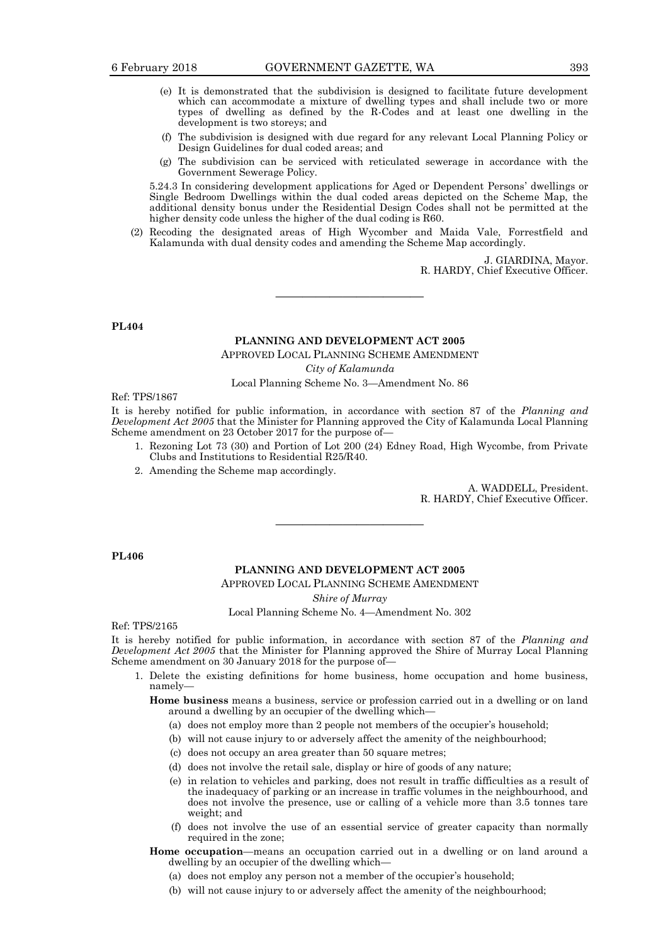- (e) It is demonstrated that the subdivision is designed to facilitate future development which can accommodate a mixture of dwelling types and shall include two or more types of dwelling as defined by the R-Codes and at least one dwelling in the development is two storeys; and
- (f) The subdivision is designed with due regard for any relevant Local Planning Policy or Design Guidelines for dual coded areas; and
- (g) The subdivision can be serviced with reticulated sewerage in accordance with the Government Sewerage Policy.

5.24.3 In considering development applications for Aged or Dependent Persons' dwellings or Single Bedroom Dwellings within the dual coded areas depicted on the Scheme Map, the additional density bonus under the Residential Design Codes shall not be permitted at the higher density code unless the higher of the dual coding is R60.

(2) Recoding the designated areas of High Wycomber and Maida Vale, Forrestfield and Kalamunda with dual density codes and amending the Scheme Map accordingly.

> J. GIARDINA, Mayor. R. HARDY, Chief Executive Officer.

**PL404**

## **PLANNING AND DEVELOPMENT ACT 2005**

 $\overline{\phantom{a}}$  , and the contract of  $\overline{\phantom{a}}$ 

APPROVED LOCAL PLANNING SCHEME AMENDMENT

*City of Kalamunda*

Local Planning Scheme No. 3—Amendment No. 86

Ref: TPS/1867

It is hereby notified for public information, in accordance with section 87 of the *Planning and Development Act 2005* that the Minister for Planning approved the City of Kalamunda Local Planning Scheme amendment on 23 October 2017 for the purpose of—

- 1. Rezoning Lot 73 (30) and Portion of Lot 200 (24) Edney Road, High Wycombe, from Private Clubs and Institutions to Residential R25/R40.
- 2. Amending the Scheme map accordingly.

A. WADDELL, President. R. HARDY, Chief Executive Officer.

**PL406**

## **PLANNING AND DEVELOPMENT ACT 2005**

 $\overline{\phantom{a}}$  , and the contract of  $\overline{\phantom{a}}$ 

APPROVED LOCAL PLANNING SCHEME AMENDMENT

*Shire of Murray*

Local Planning Scheme No. 4—Amendment No. 302

Ref: TPS/2165

It is hereby notified for public information, in accordance with section 87 of the *Planning and Development Act 2005* that the Minister for Planning approved the Shire of Murray Local Planning Scheme amendment on 30 January 2018 for the purpose of—

1. Delete the existing definitions for home business, home occupation and home business, namely—

**Home business** means a business, service or profession carried out in a dwelling or on land around a dwelling by an occupier of the dwelling which—

- (a) does not employ more than 2 people not members of the occupier's household;
- (b) will not cause injury to or adversely affect the amenity of the neighbourhood;
- (c) does not occupy an area greater than 50 square metres;
- (d) does not involve the retail sale, display or hire of goods of any nature;
- (e) in relation to vehicles and parking, does not result in traffic difficulties as a result of the inadequacy of parking or an increase in traffic volumes in the neighbourhood, and does not involve the presence, use or calling of a vehicle more than 3.5 tonnes tare weight; and
- (f) does not involve the use of an essential service of greater capacity than normally required in the zone;

**Home occupation**—means an occupation carried out in a dwelling or on land around a dwelling by an occupier of the dwelling which—

- (a) does not employ any person not a member of the occupier's household;
- (b) will not cause injury to or adversely affect the amenity of the neighbourhood;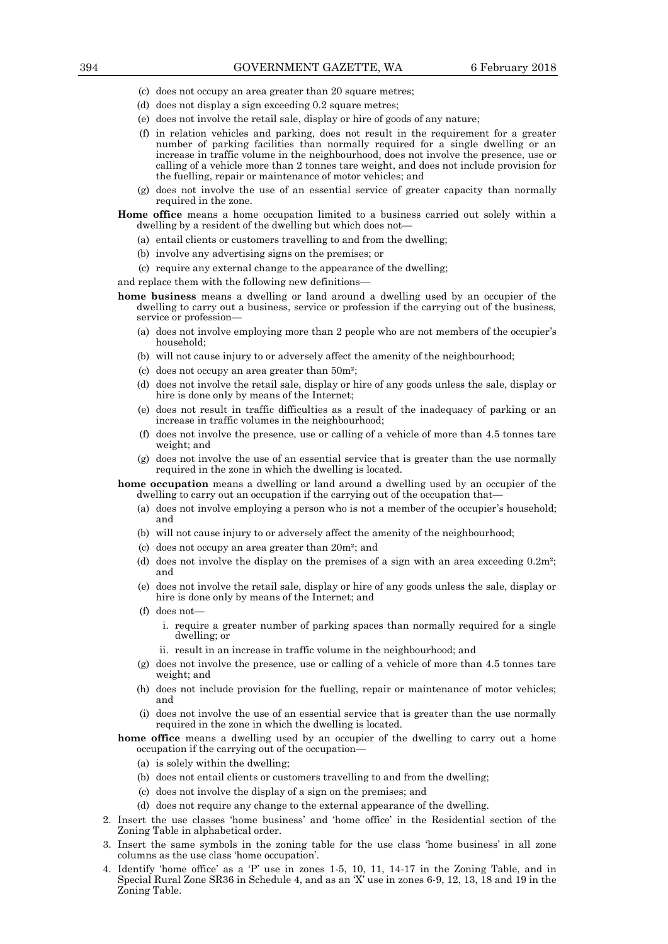- (c) does not occupy an area greater than 20 square metres;
- (d) does not display a sign exceeding 0.2 square metres;
- (e) does not involve the retail sale, display or hire of goods of any nature;
- (f) in relation vehicles and parking, does not result in the requirement for a greater number of parking facilities than normally required for a single dwelling or an increase in traffic volume in the neighbourhood, does not involve the presence, use or calling of a vehicle more than 2 tonnes tare weight, and does not include provision for the fuelling, repair or maintenance of motor vehicles; and
- (g) does not involve the use of an essential service of greater capacity than normally required in the zone.

**Home office** means a home occupation limited to a business carried out solely within a dwelling by a resident of the dwelling but which does not—

- (a) entail clients or customers travelling to and from the dwelling;
- (b) involve any advertising signs on the premises; or
- (c) require any external change to the appearance of the dwelling;

and replace them with the following new definitions—

- **home business** means a dwelling or land around a dwelling used by an occupier of the dwelling to carry out a business, service or profession if the carrying out of the business, service or profession—
	- (a) does not involve employing more than 2 people who are not members of the occupier's household;
	- (b) will not cause injury to or adversely affect the amenity of the neighbourhood;
	- (c) does not occupy an area greater than 50m²;
	- (d) does not involve the retail sale, display or hire of any goods unless the sale, display or hire is done only by means of the Internet;
	- (e) does not result in traffic difficulties as a result of the inadequacy of parking or an increase in traffic volumes in the neighbourhood;
	- (f) does not involve the presence, use or calling of a vehicle of more than 4.5 tonnes tare weight; and
	- (g) does not involve the use of an essential service that is greater than the use normally required in the zone in which the dwelling is located.

**home occupation** means a dwelling or land around a dwelling used by an occupier of the dwelling to carry out an occupation if the carrying out of the occupation that—

- (a) does not involve employing a person who is not a member of the occupier's household; and
- (b) will not cause injury to or adversely affect the amenity of the neighbourhood;
- (c) does not occupy an area greater than 20m²; and
- (d) does not involve the display on the premises of a sign with an area exceeding  $0.2m^2$ ; and
- (e) does not involve the retail sale, display or hire of any goods unless the sale, display or hire is done only by means of the Internet; and
- $(f)$  does not
	- i. require a greater number of parking spaces than normally required for a single dwelling; or
	- ii. result in an increase in traffic volume in the neighbourhood; and
- (g) does not involve the presence, use or calling of a vehicle of more than 4.5 tonnes tare weight; and
- (h) does not include provision for the fuelling, repair or maintenance of motor vehicles; and
- (i) does not involve the use of an essential service that is greater than the use normally required in the zone in which the dwelling is located.

#### **home office** means a dwelling used by an occupier of the dwelling to carry out a home occupation if the carrying out of the occupation—

- (a) is solely within the dwelling;
- (b) does not entail clients or customers travelling to and from the dwelling;
- (c) does not involve the display of a sign on the premises; and
- (d) does not require any change to the external appearance of the dwelling.
- 2. Insert the use classes 'home business' and 'home office' in the Residential section of the Zoning Table in alphabetical order.
- 3. Insert the same symbols in the zoning table for the use class 'home business' in all zone columns as the use class 'home occupation'.
- 4. Identify 'home office' as a 'P' use in zones 1-5, 10, 11, 14-17 in the Zoning Table, and in Special Rural Zone SR36 in Schedule 4, and as an 'X' use in zones 6-9, 12, 13, 18 and 19 in the Zoning Table.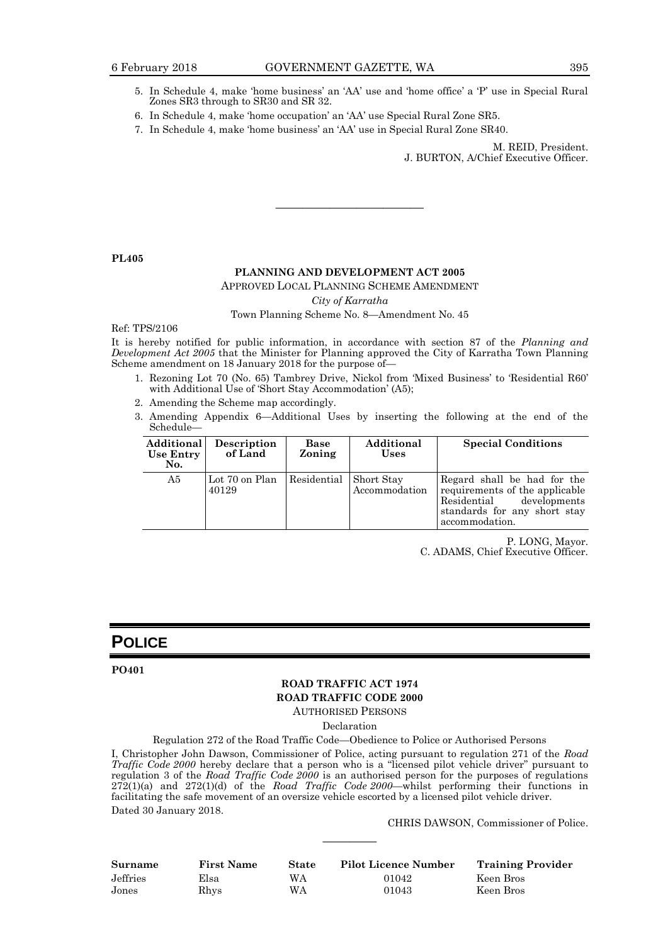- 5. In Schedule 4, make 'home business' an 'AA' use and 'home office' a 'P' use in Special Rural Zones SR3 through to SR30 and SR 32.
- 6. In Schedule 4, make 'home occupation' an 'AA' use Special Rural Zone SR5.
- 7. In Schedule 4, make 'home business' an 'AA' use in Special Rural Zone SR40.

M. REID, President.

J. BURTON, A/Chief Executive Officer.

**PL405**

## **PLANNING AND DEVELOPMENT ACT 2005**

 $\overline{\phantom{a}}$  , and the contract of  $\overline{\phantom{a}}$ 

## APPROVED LOCAL PLANNING SCHEME AMENDMENT *City of Karratha* Town Planning Scheme No. 8—Amendment No. 45

#### Ref: TPS/2106

It is hereby notified for public information, in accordance with section 87 of the *Planning and Development Act 2005* that the Minister for Planning approved the City of Karratha Town Planning Scheme amendment on 18 January 2018 for the purpose of—

- 1. Rezoning Lot 70 (No. 65) Tambrey Drive, Nickol from 'Mixed Business' to 'Residential R60' with Additional Use of 'Short Stay Accommodation' (A5);
- 2. Amending the Scheme map accordingly.
- 3. Amending Appendix 6—Additional Uses by inserting the following at the end of the Schedule—

| Additional<br>Use Entry<br>No. | Description<br>of Land  | Base<br>Zoning | Additional<br><b>Uses</b>   | <b>Special Conditions</b>                                                                                                                      |
|--------------------------------|-------------------------|----------------|-----------------------------|------------------------------------------------------------------------------------------------------------------------------------------------|
| A5                             | Lot 70 on Plan<br>40129 | Residential    | Short Stay<br>Accommodation | Regard shall be had for the<br>requirements of the applicable<br>developments<br>Residential<br>standards for any short stay<br>accommodation. |

P. LONG, Mayor.

C. ADAMS, Chief Executive Officer.

## **POLICE**

#### **PO401**

## **ROAD TRAFFIC ACT 1974 ROAD TRAFFIC CODE 2000**

AUTHORISED PERSONS

Declaration

Regulation 272 of the Road Traffic Code—Obedience to Police or Authorised Persons

I, Christopher John Dawson, Commissioner of Police, acting pursuant to regulation 271 of the *Road Traffic Code 2000* hereby declare that a person who is a "licensed pilot vehicle driver" pursuant to regulation 3 of the *Road Traffic Code 2000* is an authorised person for the purposes of regulations 272(1)(a) and 272(1)(d) of the *Road Traffic Code 2000*—whilst performing their functions in facilitating the safe movement of an oversize vehicle escorted by a licensed pilot vehicle driver. Dated 30 January 2018.

CHRIS DAWSON, Commissioner of Police.

| <b>Surname</b> | <b>First Name</b> | <b>State</b> | <b>Pilot Licence Number</b> | <b>Training Provider</b> |
|----------------|-------------------|--------------|-----------------------------|--------------------------|
| Jeffries       | Elsa              | WА           | 01042                       | Keen Bros                |
| Jones          | Rhvs              | WΑ           | 01043                       | Keen Bros                |

————